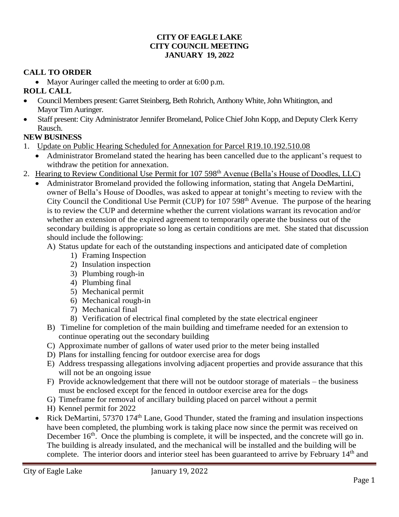#### **CITY OF EAGLE LAKE CITY COUNCIL MEETING JANUARY 19, 2022**

## **CALL TO ORDER**

• Mayor Auringer called the meeting to order at 6:00 p.m.

## **ROLL CALL**

- Council Members present: Garret Steinberg, Beth Rohrich, Anthony White, John Whitington, and Mayor Tim Auringer.
- Staff present: City Administrator Jennifer Bromeland, Police Chief John Kopp, and Deputy Clerk Kerry Rausch.

## **NEW BUSINESS**

- 1. Update on Public Hearing Scheduled for Annexation for Parcel R19.10.192.510.08
	- Administrator Bromeland stated the hearing has been cancelled due to the applicant's request to withdraw the petition for annexation.
- 2. Hearing to Review Conditional Use Permit for 107 598<sup>th</sup> Avenue (Bella's House of Doodles, LLC)
	- Administrator Bromeland provided the following information, stating that Angela DeMartini, owner of Bella's House of Doodles, was asked to appear at tonight's meeting to review with the City Council the Conditional Use Permit (CUP) for 107 598<sup>th</sup> Avenue. The purpose of the hearing is to review the CUP and determine whether the current violations warrant its revocation and/or whether an extension of the expired agreement to temporarily operate the business out of the secondary building is appropriate so long as certain conditions are met. She stated that discussion should include the following:
		- A) Status update for each of the outstanding inspections and anticipated date of completion
			- 1) Framing Inspection
			- 2) Insulation inspection
			- 3) Plumbing rough-in
			- 4) Plumbing final
			- 5) Mechanical permit
			- 6) Mechanical rough-in
			- 7) Mechanical final
			- 8) Verification of electrical final completed by the state electrical engineer
		- B) Timeline for completion of the main building and timeframe needed for an extension to continue operating out the secondary building
		- C) Approximate number of gallons of water used prior to the meter being installed
		- D) Plans for installing fencing for outdoor exercise area for dogs
		- E) Address trespassing allegations involving adjacent properties and provide assurance that this will not be an ongoing issue
		- F) Provide acknowledgement that there will not be outdoor storage of materials the business must be enclosed except for the fenced in outdoor exercise area for the dogs
		- G) Timeframe for removal of ancillary building placed on parcel without a permit
		- H) Kennel permit for 2022
	- Rick DeMartini, 57370 174<sup>th</sup> Lane, Good Thunder, stated the framing and insulation inspections have been completed, the plumbing work is taking place now since the permit was received on December  $16<sup>th</sup>$ . Once the plumbing is complete, it will be inspected, and the concrete will go in. The building is already insulated, and the mechanical will be installed and the building will be complete. The interior doors and interior steel has been guaranteed to arrive by February 14<sup>th</sup> and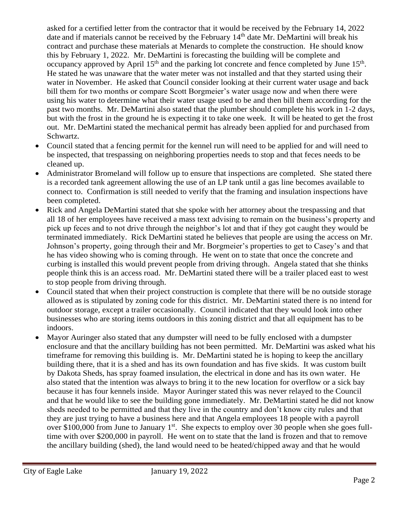asked for a certified letter from the contractor that it would be received by the February 14, 2022 date and if materials cannot be received by the February  $14<sup>th</sup>$  date Mr. DeMartini will break his contract and purchase these materials at Menards to complete the construction. He should know this by February 1, 2022. Mr. DeMartini is forecasting the building will be complete and occupancy approved by April  $15<sup>th</sup>$  and the parking lot concrete and fence completed by June  $15<sup>th</sup>$ . He stated he was unaware that the water meter was not installed and that they started using their water in November. He asked that Council consider looking at their current water usage and back bill them for two months or compare Scott Borgmeier's water usage now and when there were using his water to determine what their water usage used to be and then bill them according for the past two months. Mr. DeMartini also stated that the plumber should complete his work in 1-2 days, but with the frost in the ground he is expecting it to take one week. It will be heated to get the frost out. Mr. DeMartini stated the mechanical permit has already been applied for and purchased from Schwartz.

- Council stated that a fencing permit for the kennel run will need to be applied for and will need to be inspected, that trespassing on neighboring properties needs to stop and that feces needs to be cleaned up.
- Administrator Bromeland will follow up to ensure that inspections are completed. She stated there is a recorded tank agreement allowing the use of an LP tank until a gas line becomes available to connect to. Confirmation is still needed to verify that the framing and insulation inspections have been completed.
- Rick and Angela DeMartini stated that she spoke with her attorney about the trespassing and that all 18 of her employees have received a mass text advising to remain on the business's property and pick up feces and to not drive through the neighbor's lot and that if they got caught they would be terminated immediately. Rick DeMartini stated he believes that people are using the access on Mr. Johnson's property, going through their and Mr. Borgmeier's properties to get to Casey's and that he has video showing who is coming through. He went on to state that once the concrete and curbing is installed this would prevent people from driving through. Angela stated that she thinks people think this is an access road. Mr. DeMartini stated there will be a trailer placed east to west to stop people from driving through.
- Council stated that when their project construction is complete that there will be no outside storage allowed as is stipulated by zoning code for this district. Mr. DeMartini stated there is no intend for outdoor storage, except a trailer occasionally. Council indicated that they would look into other businesses who are storing items outdoors in this zoning district and that all equipment has to be indoors.
- Mayor Auringer also stated that any dumpster will need to be fully enclosed with a dumpster enclosure and that the ancillary building has not been permitted. Mr. DeMartini was asked what his timeframe for removing this building is. Mr. DeMartini stated he is hoping to keep the ancillary building there, that it is a shed and has its own foundation and has five skids. It was custom built by Dakota Sheds, has spray foamed insulation, the electrical in done and has its own water. He also stated that the intention was always to bring it to the new location for overflow or a sick bay because it has four kennels inside. Mayor Auringer stated this was never relayed to the Council and that he would like to see the building gone immediately. Mr. DeMartini stated he did not know sheds needed to be permitted and that they live in the country and don't know city rules and that they are just trying to have a business here and that Angela employees 18 people with a payroll over \$100,000 from June to January  $1<sup>st</sup>$ . She expects to employ over 30 people when she goes fulltime with over \$200,000 in payroll. He went on to state that the land is frozen and that to remove the ancillary building (shed), the land would need to be heated/chipped away and that he would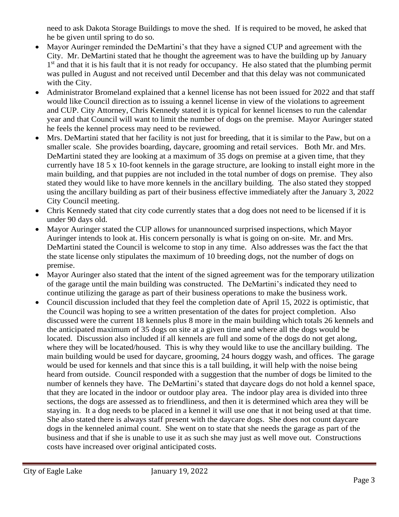need to ask Dakota Storage Buildings to move the shed. If is required to be moved, he asked that he be given until spring to do so.

- Mayor Auringer reminded the DeMartini's that they have a signed CUP and agreement with the City. Mr. DeMartini stated that he thought the agreement was to have the building up by January 1<sup>st</sup> and that it is his fault that it is not ready for occupancy. He also stated that the plumbing permit was pulled in August and not received until December and that this delay was not communicated with the City.
- Administrator Bromeland explained that a kennel license has not been issued for 2022 and that staff would like Council direction as to issuing a kennel license in view of the violations to agreement and CUP. City Attorney, Chris Kennedy stated it is typical for kennel licenses to run the calendar year and that Council will want to limit the number of dogs on the premise. Mayor Auringer stated he feels the kennel process may need to be reviewed.
- Mrs. DeMartini stated that her facility is not just for breeding, that it is similar to the Paw, but on a smaller scale. She provides boarding, daycare, grooming and retail services. Both Mr. and Mrs. DeMartini stated they are looking at a maximum of 35 dogs on premise at a given time, that they currently have 18 5 x 10-foot kennels in the garage structure, are looking to install eight more in the main building, and that puppies are not included in the total number of dogs on premise. They also stated they would like to have more kennels in the ancillary building. The also stated they stopped using the ancillary building as part of their business effective immediately after the January 3, 2022 City Council meeting.
- Chris Kennedy stated that city code currently states that a dog does not need to be licensed if it is under 90 days old.
- Mayor Auringer stated the CUP allows for unannounced surprised inspections, which Mayor Auringer intends to look at. His concern personally is what is going on on-site. Mr. and Mrs. DeMartini stated the Council is welcome to stop in any time. Also addresses was the fact the that the state license only stipulates the maximum of 10 breeding dogs, not the number of dogs on premise.
- Mayor Auringer also stated that the intent of the signed agreement was for the temporary utilization of the garage until the main building was constructed. The DeMartini's indicated they need to continue utilizing the garage as part of their business operations to make the business work.
- Council discussion included that they feel the completion date of April 15, 2022 is optimistic, that the Council was hoping to see a written presentation of the dates for project completion. Also discussed were the current 18 kennels plus 8 more in the main building which totals 26 kennels and the anticipated maximum of 35 dogs on site at a given time and where all the dogs would be located. Discussion also included if all kennels are full and some of the dogs do not get along, where they will be located/housed. This is why they would like to use the ancillary building. The main building would be used for daycare, grooming, 24 hours doggy wash, and offices. The garage would be used for kennels and that since this is a tall building, it will help with the noise being heard from outside. Council responded with a suggestion that the number of dogs be limited to the number of kennels they have. The DeMartini's stated that daycare dogs do not hold a kennel space, that they are located in the indoor or outdoor play area. The indoor play area is divided into three sections, the dogs are assessed as to friendliness, and then it is determined which area they will be staying in. It a dog needs to be placed in a kennel it will use one that it not being used at that time. She also stated there is always staff present with the daycare dogs. She does not count daycare dogs in the kenneled animal count. She went on to state that she needs the garage as part of the business and that if she is unable to use it as such she may just as well move out. Constructions costs have increased over original anticipated costs.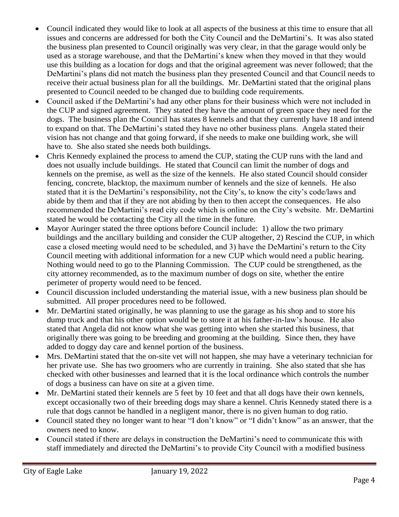- Council indicated they would like to look at all aspects of the business at this time to ensure that all issues and concerns are addressed for both the City Council and the DeMartini's. It was also stated the business plan presented to Council originally was very clear, in that the garage would only be used as a storage warehouse, and that the DeMartini's knew when they moved in that they would use this building as a location for dogs and that the original agreement was never followed; that the DeMartini's plans did not match the business plan they presented Council and that Council needs to receive their actual business plan for all the buildings. Mr. DeMartini stated that the original plans presented to Council needed to be changed due to building code requirements.
- Council asked if the DeMartini's had any other plans for their business which were not included in the CUP and signed agreement. They stated they have the amount of green space they need for the dogs. The business plan the Council has states 8 kennels and that they currently have 18 and intend to expand on that. The DeMartini's stated they have no other business plans. Angela stated their vision has not change and that going forward, if she needs to make one building work, she will have to. She also stated she needs both buildings.
- Chris Kennedy explained the process to amend the CUP, stating the CUP runs with the land and does not usually include buildings. He stated that Council can limit the number of dogs and kennels on the premise, as well as the size of the kennels. He also stated Council should consider fencing, concrete, blacktop, the maximum number of kennels and the size of kennels. He also stated that it is the DeMartini's responsibility, not the City's, to know the city's code/laws and abide by them and that if they are not abiding by then to then accept the consequences. He also recommended the DeMartini's read city code which is online on the City's website. Mr. DeMartini stated he would be contacting the City all the time in the future.
- Mayor Auringer stated the three options before Council include: 1) allow the two primary buildings and the ancillary building and consider the CUP altogether, 2) Rescind the CUP, in which case a closed meeting would need to be scheduled, and 3) have the DeMartini's return to the City Council meeting with additional information for a new CUP which would need a public hearing. Nothing would need to go to the Planning Commission. The CUP could be strengthened, as the city attorney recommended, as to the maximum number of dogs on site, whether the entire perimeter of property would need to be fenced.
- Council discussion included understanding the material issue, with a new business plan should be submitted. All proper procedures need to be followed.
- Mr. DeMartini stated originally, he was planning to use the garage as his shop and to store his dump truck and that his other option would be to store it at his father-in-law's house. He also stated that Angela did not know what she was getting into when she started this business, that originally there was going to be breeding and grooming at the building. Since then, they have added to doggy day care and kennel portion of the business.
- Mrs. DeMartini stated that the on-site vet will not happen, she may have a veterinary technician for her private use. She has two groomers who are currently in training. She also stated that she has checked with other businesses and learned that it is the local ordinance which controls the number of dogs a business can have on site at a given time.
- Mr. DeMartini stated their kennels are 5 feet by 10 feet and that all dogs have their own kennels, except occasionally two of their breeding dogs may share a kennel. Chris Kennedy stated there is a rule that dogs cannot be handled in a negligent manor, there is no given human to dog ratio.
- Council stated they no longer want to hear "I don't know" or "I didn't know" as an answer, that the owners need to know.
- Council stated if there are delays in construction the DeMartini's need to communicate this with staff immediately and directed the DeMartini's to provide City Council with a modified business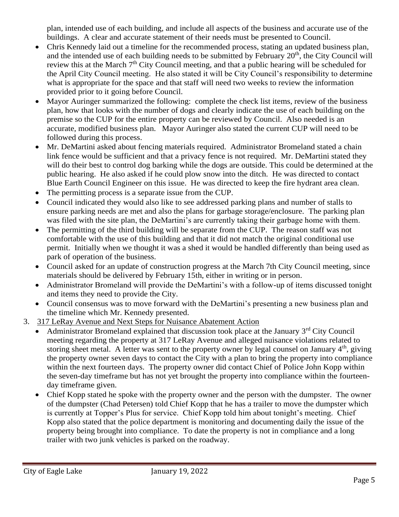plan, intended use of each building, and include all aspects of the business and accurate use of the buildings. A clear and accurate statement of their needs must be presented to Council.

- Chris Kennedy laid out a timeline for the recommended process, stating an updated business plan, and the intended use of each building needs to be submitted by February  $20<sup>th</sup>$ , the City Council will review this at the March 7<sup>th</sup> City Council meeting, and that a public hearing will be scheduled for the April City Council meeting. He also stated it will be City Council's responsibility to determine what is appropriate for the space and that staff will need two weeks to review the information provided prior to it going before Council.
- Mayor Auringer summarized the following: complete the check list items, review of the business plan, how that looks with the number of dogs and clearly indicate the use of each building on the premise so the CUP for the entire property can be reviewed by Council. Also needed is an accurate, modified business plan. Mayor Auringer also stated the current CUP will need to be followed during this process.
- Mr. DeMartini asked about fencing materials required. Administrator Bromeland stated a chain link fence would be sufficient and that a privacy fence is not required. Mr. DeMartini stated they will do their best to control dog barking while the dogs are outside. This could be determined at the public hearing. He also asked if he could plow snow into the ditch. He was directed to contact Blue Earth Council Engineer on this issue. He was directed to keep the fire hydrant area clean.
- The permitting process is a separate issue from the CUP.
- Council indicated they would also like to see addressed parking plans and number of stalls to ensure parking needs are met and also the plans for garbage storage/enclosure. The parking plan was filed with the site plan, the DeMartini's are currently taking their garbage home with them.
- The permitting of the third building will be separate from the CUP. The reason staff was not comfortable with the use of this building and that it did not match the original conditional use permit. Initially when we thought it was a shed it would be handled differently than being used as park of operation of the business.
- Council asked for an update of construction progress at the March 7th City Council meeting, since materials should be delivered by February 15th, either in writing or in person.
- Administrator Bromeland will provide the DeMartini's with a follow-up of items discussed tonight and items they need to provide the City.
- Council consensus was to move forward with the DeMartini's presenting a new business plan and the timeline which Mr. Kennedy presented.
- 3. 317 LeRay Avenue and Next Steps for Nuisance Abatement Action
	- Administrator Bromeland explained that discussion took place at the January 3<sup>rd</sup> City Council meeting regarding the property at 317 LeRay Avenue and alleged nuisance violations related to storing sheet metal. A letter was sent to the property owner by legal counsel on January  $4<sup>th</sup>$ , giving the property owner seven days to contact the City with a plan to bring the property into compliance within the next fourteen days. The property owner did contact Chief of Police John Kopp within the seven-day timeframe but has not yet brought the property into compliance within the fourteenday timeframe given.
	- Chief Kopp stated he spoke with the property owner and the person with the dumpster. The owner of the dumpster (Chad Petersen) told Chief Kopp that he has a trailer to move the dumpster which is currently at Topper's Plus for service. Chief Kopp told him about tonight's meeting. Chief Kopp also stated that the police department is monitoring and documenting daily the issue of the property being brought into compliance. To date the property is not in compliance and a long trailer with two junk vehicles is parked on the roadway.